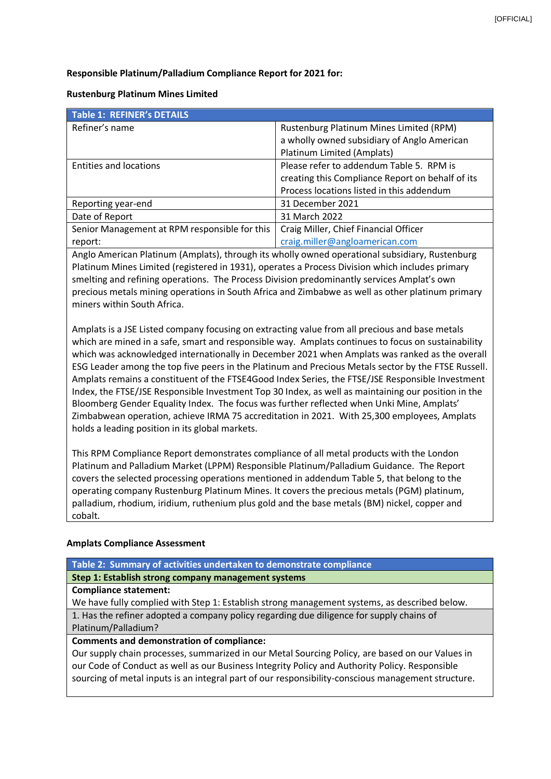#### **Responsible Platinum/Palladium Compliance Report for 2021 for:**

#### **Rustenburg Platinum Mines Limited**

| Table 1: REFINER's DETAILS                    |                                                  |  |
|-----------------------------------------------|--------------------------------------------------|--|
| Refiner's name                                | Rustenburg Platinum Mines Limited (RPM)          |  |
|                                               | a wholly owned subsidiary of Anglo American      |  |
|                                               | Platinum Limited (Amplats)                       |  |
| <b>Entities and locations</b>                 | Please refer to addendum Table 5. RPM is         |  |
|                                               | creating this Compliance Report on behalf of its |  |
|                                               | Process locations listed in this addendum        |  |
| Reporting year-end                            | 31 December 2021                                 |  |
| Date of Report                                | 31 March 2022                                    |  |
| Senior Management at RPM responsible for this | Craig Miller, Chief Financial Officer            |  |
| report:                                       | craig.miller@angloamerican.com                   |  |
|                                               |                                                  |  |

Anglo American Platinum (Amplats), through its wholly owned operational subsidiary, Rustenburg Platinum Mines Limited (registered in 1931), operates a Process Division which includes primary smelting and refining operations. The Process Division predominantly services Amplat's own precious metals mining operations in South Africa and Zimbabwe as well as other platinum primary miners within South Africa.

Amplats is a JSE Listed company focusing on extracting value from all precious and base metals which are mined in a safe, smart and responsible way. Amplats continues to focus on sustainability which was acknowledged internationally in December 2021 when Amplats was ranked as the overall ESG Leader among the top five peers in the Platinum and Precious Metals sector by the FTSE Russell. Amplats remains a constituent of the FTSE4Good Index Series, the FTSE/JSE Responsible Investment Index, the FTSE/JSE Responsible Investment Top 30 Index, as well as maintaining our position in the Bloomberg Gender Equality Index. The focus was further reflected when Unki Mine, Amplats' Zimbabwean operation, achieve IRMA 75 accreditation in 2021. With 25,300 employees, Amplats holds a leading position in its global markets.

This RPM Compliance Report demonstrates compliance of all metal products with the London Platinum and Palladium Market (LPPM) Responsible Platinum/Palladium Guidance. The Report covers the selected processing operations mentioned in addendum Table 5, that belong to the operating company Rustenburg Platinum Mines. It covers the precious metals (PGM) platinum, palladium, rhodium, iridium, ruthenium plus gold and the base metals (BM) nickel, copper and cobalt.

#### **Amplats Compliance Assessment**

**Table 2: Summary of activities undertaken to demonstrate compliance**

**Step 1: Establish strong company management systems**

**Compliance statement:**

We have fully complied with Step 1: Establish strong management systems, as described below. 1. Has the refiner adopted a company policy regarding due diligence for supply chains of Platinum/Palladium?

#### **Comments and demonstration of compliance:**

Our supply chain processes, summarized in our Metal Sourcing Policy, are based on our Values in our Code of Conduct as well as our Business Integrity Policy and Authority Policy. Responsible sourcing of metal inputs is an integral part of our responsibility-conscious management structure.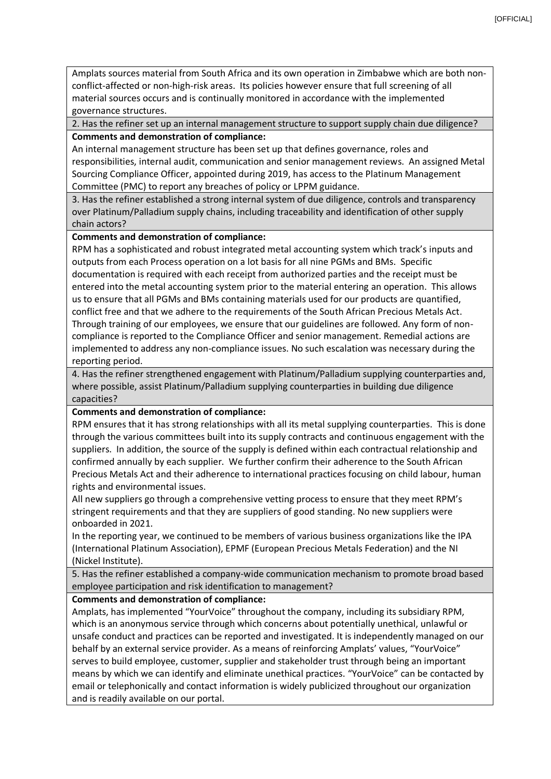Amplats sources material from South Africa and its own operation in Zimbabwe which are both nonconflict-affected or non-high-risk areas. Its policies however ensure that full screening of all material sources occurs and is continually monitored in accordance with the implemented governance structures.

2. Has the refiner set up an internal management structure to support supply chain due diligence? **Comments and demonstration of compliance:**

An internal management structure has been set up that defines governance, roles and responsibilities, internal audit, communication and senior management reviews. An assigned Metal Sourcing Compliance Officer, appointed during 2019, has access to the Platinum Management Committee (PMC) to report any breaches of policy or LPPM guidance.

3. Has the refiner established a strong internal system of due diligence, controls and transparency over Platinum/Palladium supply chains, including traceability and identification of other supply chain actors?

# **Comments and demonstration of compliance:**

RPM has a sophisticated and robust integrated metal accounting system which track's inputs and outputs from each Process operation on a lot basis for all nine PGMs and BMs. Specific documentation is required with each receipt from authorized parties and the receipt must be entered into the metal accounting system prior to the material entering an operation. This allows us to ensure that all PGMs and BMs containing materials used for our products are quantified, conflict free and that we adhere to the requirements of the South African Precious Metals Act. Through training of our employees, we ensure that our guidelines are followed. Any form of noncompliance is reported to the Compliance Officer and senior management. Remedial actions are implemented to address any non-compliance issues. No such escalation was necessary during the reporting period.

4. Has the refiner strengthened engagement with Platinum/Palladium supplying counterparties and, where possible, assist Platinum/Palladium supplying counterparties in building due diligence capacities?

# **Comments and demonstration of compliance:**

RPM ensures that it has strong relationships with all its metal supplying counterparties. This is done through the various committees built into its supply contracts and continuous engagement with the suppliers. In addition, the source of the supply is defined within each contractual relationship and confirmed annually by each supplier. We further confirm their adherence to the South African Precious Metals Act and their adherence to international practices focusing on child labour, human rights and environmental issues.

All new suppliers go through a comprehensive vetting process to ensure that they meet RPM's stringent requirements and that they are suppliers of good standing. No new suppliers were onboarded in 2021.

In the reporting year, we continued to be members of various business organizations like the IPA (International Platinum Association), EPMF (European Precious Metals Federation) and the NI (Nickel Institute).

5. Has the refiner established a company-wide communication mechanism to promote broad based employee participation and risk identification to management?

# **Comments and demonstration of compliance:**

Amplats, has implemented "YourVoice" throughout the company, including its subsidiary RPM, which is an anonymous service through which concerns about potentially unethical, unlawful or unsafe conduct and practices can be reported and investigated. It is independently managed on our behalf by an external service provider. As a means of reinforcing Amplats' values, "YourVoice" serves to build employee, customer, supplier and stakeholder trust through being an important means by which we can identify and eliminate unethical practices. "YourVoice" can be contacted by email or telephonically and contact information is widely publicized throughout our organization and is readily available on our portal.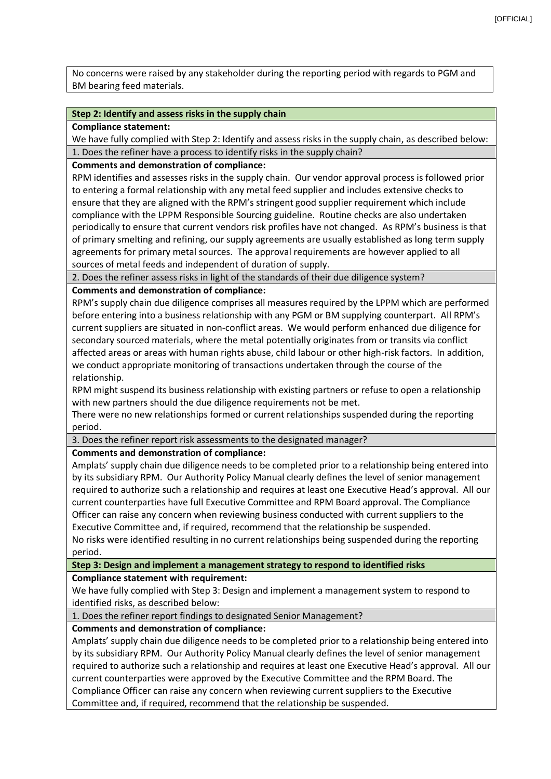No concerns were raised by any stakeholder during the reporting period with regards to PGM and BM bearing feed materials.

#### **Step 2: Identify and assess risks in the supply chain**

**Compliance statement:**

We have fully complied with Step 2: Identify and assess risks in the supply chain, as described below: 1. Does the refiner have a process to identify risks in the supply chain?

#### **Comments and demonstration of compliance:**

RPM identifies and assesses risks in the supply chain. Our vendor approval process is followed prior to entering a formal relationship with any metal feed supplier and includes extensive checks to ensure that they are aligned with the RPM's stringent good supplier requirement which include compliance with the LPPM Responsible Sourcing guideline. Routine checks are also undertaken periodically to ensure that current vendors risk profiles have not changed. As RPM's business is that of primary smelting and refining, our supply agreements are usually established as long term supply agreements for primary metal sources. The approval requirements are however applied to all sources of metal feeds and independent of duration of supply.

2. Does the refiner assess risks in light of the standards of their due diligence system?

#### **Comments and demonstration of compliance:**

RPM's supply chain due diligence comprises all measures required by the LPPM which are performed before entering into a business relationship with any PGM or BM supplying counterpart. All RPM's current suppliers are situated in non-conflict areas. We would perform enhanced due diligence for secondary sourced materials, where the metal potentially originates from or transits via conflict affected areas or areas with human rights abuse, child labour or other high-risk factors. In addition, we conduct appropriate monitoring of transactions undertaken through the course of the relationship.

RPM might suspend its business relationship with existing partners or refuse to open a relationship with new partners should the due diligence requirements not be met.

There were no new relationships formed or current relationships suspended during the reporting period.

3. Does the refiner report risk assessments to the designated manager?

# **Comments and demonstration of compliance:**

Amplats' supply chain due diligence needs to be completed prior to a relationship being entered into by its subsidiary RPM. Our Authority Policy Manual clearly defines the level of senior management required to authorize such a relationship and requires at least one Executive Head's approval. All our current counterparties have full Executive Committee and RPM Board approval. The Compliance Officer can raise any concern when reviewing business conducted with current suppliers to the Executive Committee and, if required, recommend that the relationship be suspended.

No risks were identified resulting in no current relationships being suspended during the reporting period.

**Step 3: Design and implement a management strategy to respond to identified risks**

# **Compliance statement with requirement:**

We have fully complied with Step 3: Design and implement a management system to respond to identified risks, as described below:

1. Does the refiner report findings to designated Senior Management?

# **Comments and demonstration of compliance:**

Amplats' supply chain due diligence needs to be completed prior to a relationship being entered into by its subsidiary RPM. Our Authority Policy Manual clearly defines the level of senior management required to authorize such a relationship and requires at least one Executive Head's approval. All our current counterparties were approved by the Executive Committee and the RPM Board. The Compliance Officer can raise any concern when reviewing current suppliers to the Executive Committee and, if required, recommend that the relationship be suspended.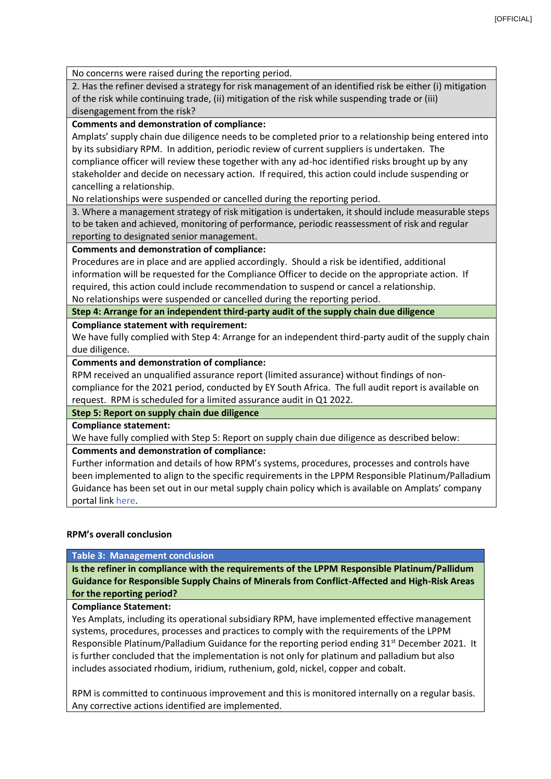No concerns were raised during the reporting period.

2. Has the refiner devised a strategy for risk management of an identified risk be either (i) mitigation of the risk while continuing trade, (ii) mitigation of the risk while suspending trade or (iii) disengagement from the risk?

# **Comments and demonstration of compliance:**

Amplats' supply chain due diligence needs to be completed prior to a relationship being entered into by its subsidiary RPM. In addition, periodic review of current suppliers is undertaken. The compliance officer will review these together with any ad-hoc identified risks brought up by any stakeholder and decide on necessary action. If required, this action could include suspending or cancelling a relationship.

No relationships were suspended or cancelled during the reporting period.

3. Where a management strategy of risk mitigation is undertaken, it should include measurable steps to be taken and achieved, monitoring of performance, periodic reassessment of risk and regular reporting to designated senior management.

# **Comments and demonstration of compliance:**

Procedures are in place and are applied accordingly. Should a risk be identified, additional information will be requested for the Compliance Officer to decide on the appropriate action. If required, this action could include recommendation to suspend or cancel a relationship. No relationships were suspended or cancelled during the reporting period.

**Step 4: Arrange for an independent third-party audit of the supply chain due diligence**

# **Compliance statement with requirement:**

We have fully complied with Step 4: Arrange for an independent third-party audit of the supply chain due diligence.

# **Comments and demonstration of compliance:**

RPM received an unqualified assurance report (limited assurance) without findings of noncompliance for the 2021 period, conducted by EY South Africa. The full audit report is available on request. RPM is scheduled for a limited assurance audit in Q1 2022.

# **Step 5: Report on supply chain due diligence**

**Compliance statement:**

We have fully complied with Step 5: Report on supply chain due diligence as described below:

# **Comments and demonstration of compliance:**

Further information and details of how RPM's systems, procedures, processes and controls have been implemented to align to the specific requirements in the LPPM Responsible Platinum/Palladium Guidance has been set out in our metal supply chain policy which is available on Amplats' company portal link here.

# **RPM's overall conclusion**

# **Table 3: Management conclusion**

**Is the refiner in compliance with the requirements of the LPPM Responsible Platinum/Pallidum Guidance for Responsible Supply Chains of Minerals from Conflict-Affected and High-Risk Areas for the reporting period?**

# **Compliance Statement:**

Yes Amplats, including its operational subsidiary RPM, have implemented effective management systems, procedures, processes and practices to comply with the requirements of the LPPM Responsible Platinum/Palladium Guidance for the reporting period ending  $31^{st}$  December 2021. It is further concluded that the implementation is not only for platinum and palladium but also includes associated rhodium, iridium, ruthenium, gold, nickel, copper and cobalt.

RPM is committed to continuous improvement and this is monitored internally on a regular basis. Any corrective actions identified are implemented.